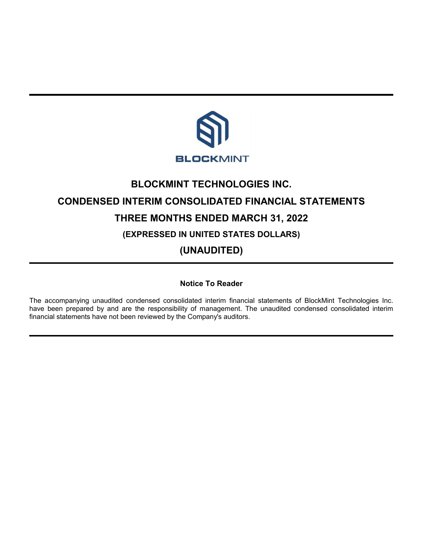

# **BLOCKMINT TECHNOLOGIES INC. CONDENSED INTERIM CONSOLIDATED FINANCIAL STATEMENTS THREE MONTHS ENDED MARCH 31, 2022 (EXPRESSED IN UNITED STATES DOLLARS)**

**(UNAUDITED)**

**Notice To Reader**

The accompanying unaudited condensed consolidated interim financial statements of BlockMint Technologies Inc. have been prepared by and are the responsibility of management. The unaudited condensed consolidated interim financial statements have not been reviewed by the Company's auditors.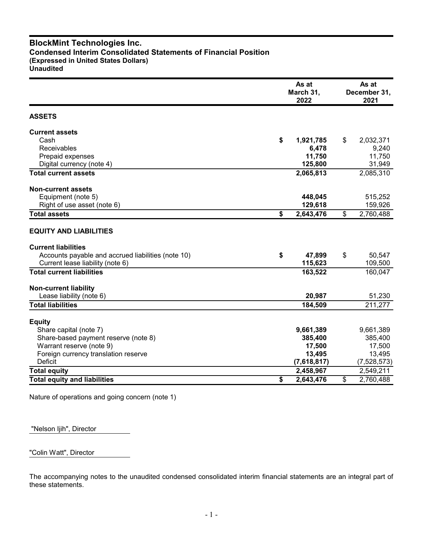# **BlockMint Technologies Inc. Condensed Interim Consolidated Statements of Financial Position (Expressed in United States Dollars) Unaudited**

|                                                    | As at<br>March 31,<br>2022 | As at<br>December 31,<br>2021 |
|----------------------------------------------------|----------------------------|-------------------------------|
| <b>ASSETS</b>                                      |                            |                               |
| <b>Current assets</b>                              |                            |                               |
| Cash                                               | \$<br>1,921,785            | \$<br>2,032,371               |
| Receivables                                        | 6,478                      | 9,240                         |
| Prepaid expenses                                   | 11,750                     | 11,750                        |
| Digital currency (note 4)                          | 125,800                    | 31,949                        |
| <b>Total current assets</b>                        | 2,065,813                  | 2,085,310                     |
| <b>Non-current assets</b>                          |                            |                               |
| Equipment (note 5)                                 | 448,045                    | 515,252                       |
| Right of use asset (note 6)                        | 129,618                    | 159,926                       |
| <b>Total assets</b>                                | \$<br>2,643,476            | \$<br>2,760,488               |
| <b>EQUITY AND LIABILITIES</b>                      |                            |                               |
| <b>Current liabilities</b>                         |                            |                               |
| Accounts payable and accrued liabilities (note 10) | \$<br>47,899               | \$<br>50,547                  |
| Current lease liability (note 6)                   | 115,623                    | 109,500                       |
| <b>Total current liabilities</b>                   | 163,522                    | 160,047                       |
| <b>Non-current liability</b>                       |                            |                               |
| Lease liability (note 6)                           | 20,987                     | 51,230                        |
| <b>Total liabilities</b>                           | 184,509                    | 211,277                       |
| <b>Equity</b>                                      |                            |                               |
| Share capital (note 7)                             | 9,661,389                  | 9,661,389                     |
| Share-based payment reserve (note 8)               | 385,400                    | 385,400                       |
| Warrant reserve (note 9)                           | 17,500                     | 17,500                        |
| Foreign currency translation reserve               | 13,495                     | 13,495                        |
| Deficit                                            | (7,618,817)                | (7,528,573)                   |
| <b>Total equity</b>                                | 2,458,967                  | 2,549,211                     |
| <b>Total equity and liabilities</b>                | \$<br>2,643,476            | \$<br>2,760,488               |

Nature of operations and going concern (note 1)

"Nelson Ijih", Director

"Colin Watt", Director

The accompanying notes to the unaudited condensed consolidated interim financial statements are an integral part of these statements.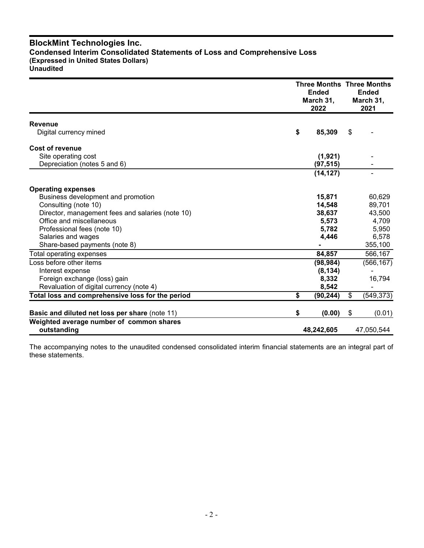# **BlockMint Technologies Inc. Condensed Interim Consolidated Statements of Loss and Comprehensive Loss (Expressed in United States Dollars) Unaudited**

|                                                         | <b>Three Months Three Months</b><br><b>Ended</b><br>March 31,<br>2022 |    |            |
|---------------------------------------------------------|-----------------------------------------------------------------------|----|------------|
| <b>Revenue</b>                                          |                                                                       |    |            |
| Digital currency mined                                  | \$<br>85,309                                                          | \$ |            |
| Cost of revenue                                         |                                                                       |    |            |
| Site operating cost                                     | (1, 921)                                                              |    |            |
| Depreciation (notes 5 and 6)                            | (97, 515)                                                             |    |            |
|                                                         | (14, 127)                                                             |    |            |
| <b>Operating expenses</b>                               |                                                                       |    |            |
| Business development and promotion                      | 15,871                                                                |    | 60,629     |
| Consulting (note 10)                                    | 14,548                                                                |    | 89,701     |
| Director, management fees and salaries (note 10)        | 38,637                                                                |    | 43,500     |
| Office and miscellaneous                                | 5,573                                                                 |    | 4,709      |
| Professional fees (note 10)                             | 5,782                                                                 |    | 5,950      |
| Salaries and wages                                      | 4.446                                                                 |    | 6,578      |
| Share-based payments (note 8)                           |                                                                       |    | 355,100    |
| Total operating expenses                                | 84,857                                                                |    | 566,167    |
| Loss before other items                                 | (98, 984)                                                             |    | (566, 167) |
| Interest expense                                        | (8, 134)                                                              |    |            |
| Foreign exchange (loss) gain                            | 8,332                                                                 |    | 16,794     |
| Revaluation of digital currency (note 4)                | 8,542                                                                 |    |            |
| Total loss and comprehensive loss for the period        | \$<br>(90, 244)                                                       | \$ | (549, 373) |
| Basic and diluted net loss per share (note 11)          | \$<br>(0.00)                                                          | \$ | (0.01)     |
| Weighted average number of common shares<br>outstanding | 48,242,605                                                            |    | 47,050,544 |

The accompanying notes to the unaudited condensed consolidated interim financial statements are an integral part of these statements.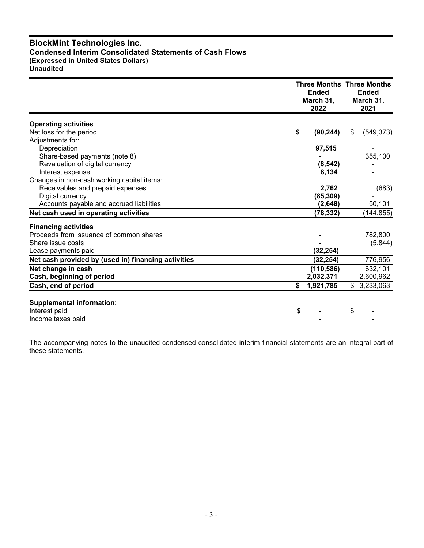# **BlockMint Technologies Inc. Condensed Interim Consolidated Statements of Cash Flows (Expressed in United States Dollars) Unaudited**

|                                                     |    | <b>Ended</b><br>March 31,<br>2022 | <b>Three Months Three Months</b><br><b>Ended</b><br>March 31,<br>2021 |            |
|-----------------------------------------------------|----|-----------------------------------|-----------------------------------------------------------------------|------------|
| <b>Operating activities</b>                         |    |                                   |                                                                       |            |
| Net loss for the period                             | \$ | (90, 244)                         | \$                                                                    | (549, 373) |
| Adjustments for:                                    |    |                                   |                                                                       |            |
| Depreciation                                        |    | 97,515                            |                                                                       |            |
| Share-based payments (note 8)                       |    |                                   |                                                                       | 355,100    |
| Revaluation of digital currency                     |    | (8, 542)                          |                                                                       |            |
| Interest expense                                    |    | 8,134                             |                                                                       |            |
| Changes in non-cash working capital items:          |    |                                   |                                                                       |            |
| Receivables and prepaid expenses                    |    | 2,762                             |                                                                       | (683)      |
| Digital currency                                    |    | (85, 309)                         |                                                                       |            |
| Accounts payable and accrued liabilities            |    | (2,648)                           |                                                                       | 50,101     |
| Net cash used in operating activities               |    | (78, 332)                         |                                                                       | (144, 855) |
| <b>Financing activities</b>                         |    |                                   |                                                                       |            |
| Proceeds from issuance of common shares             |    |                                   |                                                                       | 782,800    |
| Share issue costs                                   |    |                                   |                                                                       | (5,844)    |
| Lease payments paid                                 |    | (32, 254)                         |                                                                       |            |
| Net cash provided by (used in) financing activities |    | (32, 254)                         |                                                                       | 776,956    |
| Net change in cash                                  |    | (110, 586)                        |                                                                       | 632,101    |
| Cash, beginning of period                           |    | 2,032,371                         |                                                                       | 2,600,962  |
| Cash, end of period                                 | \$ | 1,921,785                         | \$                                                                    | 3,233,063  |
| <b>Supplemental information:</b>                    |    |                                   |                                                                       |            |
| Interest paid                                       | \$ |                                   | \$                                                                    |            |
| Income taxes paid                                   |    |                                   |                                                                       |            |

The accompanying notes to the unaudited condensed consolidated interim financial statements are an integral part of these statements.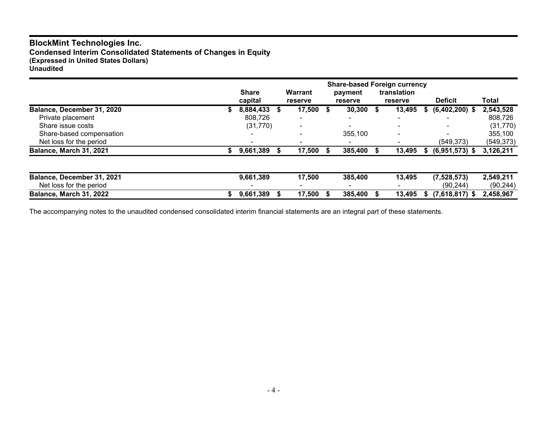# **BlockMint Technologies Inc.**

**Condensed Interim Consolidated Statements of Changes in Equity (Expressed in United States Dollars)**

**Unaudited**

|                            | <b>Share</b><br>capital |   | <b>Warrant</b><br>reserve | payment<br><b>reserve</b> |   | <b>Share-based Foreign currency</b><br>translation<br>reserve |    | <b>Deficit</b>   | Total      |
|----------------------------|-------------------------|---|---------------------------|---------------------------|---|---------------------------------------------------------------|----|------------------|------------|
| Balance, December 31, 2020 | 8,884,433               | S | 17,500 \$                 | 30,300                    | S | 13,495                                                        | S. | $(6,402,200)$ \$ | 2,543,528  |
| Private placement          | 808,726                 |   | $\overline{\phantom{0}}$  |                           |   | $\overline{\phantom{0}}$                                      |    |                  | 808,726    |
| Share issue costs          | (31, 770)               |   | $\overline{\phantom{0}}$  |                           |   |                                                               |    |                  | (31, 770)  |
| Share-based compensation   |                         |   |                           | 355,100                   |   | $\,$ $\,$                                                     |    |                  | 355,100    |
| Net loss for the period    |                         |   |                           |                           |   |                                                               |    | (549, 373)       | (549, 373) |
| Balance, March 31, 2021    | 9,661,389               |   | 17,500 \$                 | 385,400                   |   | 13.495                                                        | S. | $(6,951,573)$ \$ | 3,126,211  |
|                            |                         |   |                           |                           |   |                                                               |    |                  |            |
| Balance, December 31, 2021 | 9,661,389               |   | 17,500                    | 385,400                   |   | 13.495                                                        |    | (7,528,573)      | 2,549,211  |
| Net loss for the period    |                         |   |                           |                           |   |                                                               |    | (90, 244)        | (90, 244)  |
| Balance, March 31, 2022    | 9,661,389               |   | 17,500                    | 385,400                   |   | 13.495                                                        | S. | $(7,618,817)$ \$ | 2,458,967  |

The accompanying notes to the unaudited condensed consolidated interim financial statements are an integral part of these statements.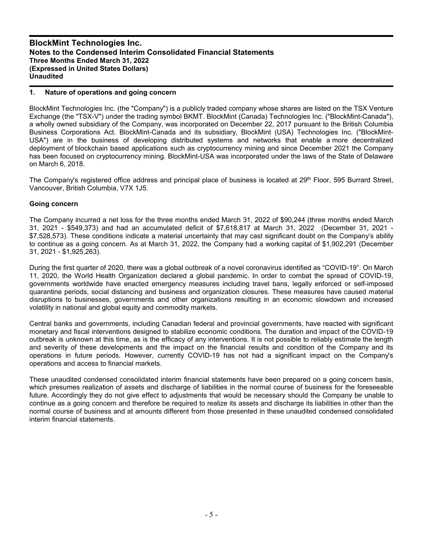## **1. Nature of operations and going concern**

BlockMint Technologies Inc. (the "Company") is a publicly traded company whose shares are listed on the TSX Venture Exchange (the "TSX-V") under the trading symbol BKMT. BlockMint (Canada) Technologies Inc. ("BlockMint-Canada"), a wholly owned subsidiary of the Company, was incorporated on December 22, 2017 pursuant to the British Columbia Business Corporations Act. BlockMint-Canada and its subsidiary, BlockMint (USA) Technologies Inc. ("BlockMint-USA") are in the business of developing distributed systems and networks that enable a more decentralized deployment of blockchain based applications such as cryptocurrency mining and since December 2021 the Company has been focused on cryptocurrency mining. BlockMint-USA was incorporated under the laws of the State of Delaware on March 6, 2018.

The Company's registered office address and principal place of business is located at 29<sup>th</sup> Floor, 595 Burrard Street, Vancouver, British Columbia, V7X 1J5.

#### **Going concern**

The Company incurred a net loss for the three months ended March 31, 2022 of \$90,244 (three months ended March 31, 2021 - \$549,373) and had an accumulated deficit of \$7,618,817 at March 31, 2022 (December 31, 2021 - \$7,528,573). These conditions indicate a material uncertainty that may cast significant doubt on the Company's ability to continue as a going concern. As at March 31, 2022, the Company had a working capital of \$1,902,291 (December 31, 2021 - \$1,925,263).

During the first quarter of 2020, there was a global outbreak of a novel coronavirus identified as "COVID-19". On March 11, 2020, the World Health Organization declared a global pandemic. In order to combat the spread of COVID-19, governments worldwide have enacted emergency measures including travel bans, legally enforced or self-imposed quarantine periods, social distancing and business and organization closures. These measures have caused material disruptions to businesses, governments and other organizations resulting in an economic slowdown and increased volatility in national and global equity and commodity markets.

Central banks and governments, including Canadian federal and provincial governments, have reacted with significant monetary and fiscal interventions designed to stabilize economic conditions. The duration and impact of the COVID-19 outbreak is unknown at this time, as is the efficacy of any interventions. It is not possible to reliably estimate the length and severity of these developments and the impact on the financial results and condition of the Company and its operations in future periods. However, currently COVID-19 has not had a significant impact on the Company's operations and access to financial markets.

These unaudited condensed consolidated interim financial statements have been prepared on a going concern basis, which presumes realization of assets and discharge of liabilities in the normal course of business for the foreseeable future. Accordingly they do not give effect to adjustments that would be necessary should the Company be unable to continue as a going concern and therefore be required to realize its assets and discharge its liabilities in other than the normal course of business and at amounts different from those presented in these unaudited condensed consolidated interim financial statements.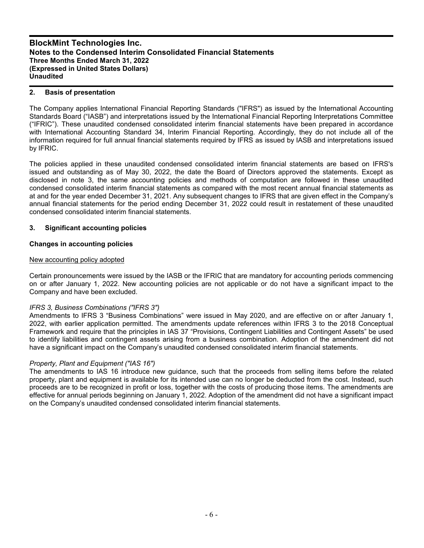## **2. Basis of presentation**

The Company applies International Financial Reporting Standards ("IFRS") as issued by the International Accounting Standards Board ("IASB") and interpretations issued by the International Financial Reporting Interpretations Committee ("IFRIC"). These unaudited condensed consolidated interim financial statements have been prepared in accordance with International Accounting Standard 34, Interim Financial Reporting. Accordingly, they do not include all of the information required for full annual financial statements required by IFRS as issued by IASB and interpretations issued by IFRIC.

The policies applied in these unaudited condensed consolidated interim financial statements are based on IFRS's issued and outstanding as of May 30, 2022, the date the Board of Directors approved the statements. Except as disclosed in note 3, the same accounting policies and methods of computation are followed in these unaudited condensed consolidated interim financial statements as compared with the most recent annual financial statements as at and for the year ended December 31, 2021. Any subsequent changes to IFRS that are given effect in the Company's annual financial statements for the period ending December 31, 2022 could result in restatement of these unaudited condensed consolidated interim financial statements.

## **3. Significant accounting policies**

## **Changes in accounting policies**

## New accounting policy adopted

Certain pronouncements were issued by the IASB or the IFRIC that are mandatory for accounting periods commencing on or after January 1, 2022. New accounting policies are not applicable or do not have a significant impact to the Company and have been excluded.

## *IFRS 3, Business Combinations ("IFRS 3")*

Amendments to IFRS 3 "Business Combinations" were issued in May 2020, and are effective on or after January 1, 2022, with earlier application permitted. The amendments update references within IFRS 3 to the 2018 Conceptual Framework and require that the principles in IAS 37 "Provisions, Contingent Liabilities and Contingent Assets" be used to identify liabilities and contingent assets arising from a business combination. Adoption of the amendment did not have a significant impact on the Company's unaudited condensed consolidated interim financial statements.

## *Property, Plant and Equipment ("IAS 16")*

The amendments to IAS 16 introduce new guidance, such that the proceeds from selling items before the related property, plant and equipment is available for its intended use can no longer be deducted from the cost. Instead, such proceeds are to be recognized in profit or loss, together with the costs of producing those items. The amendments are effective for annual periods beginning on January 1, 2022. Adoption of the amendment did not have a significant impact on the Company's unaudited condensed consolidated interim financial statements.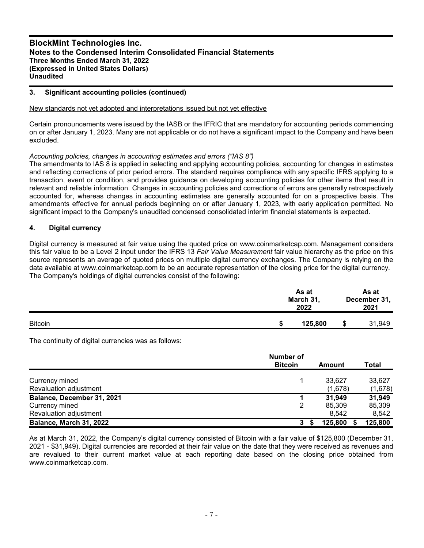## **3. Significant accounting policies (continued)**

#### New standards not yet adopted and interpretations issued but not yet effective

Certain pronouncements were issued by the IASB or the IFRIC that are mandatory for accounting periods commencing on or after January 1, 2023. Many are not applicable or do not have a significant impact to the Company and have been excluded.

## *Accounting policies, changes in accounting estimates and errors ("IAS 8")*

The amendments to IAS 8 is applied in selecting and applying accounting policies, accounting for changes in estimates and reflecting corrections of prior period errors. The standard requires compliance with any specific IFRS applying to a transaction, event or condition, and provides guidance on developing accounting policies for other items that result in relevant and reliable information. Changes in accounting policies and corrections of errors are generally retrospectively accounted for, whereas changes in accounting estimates are generally accounted for on a prospective basis. The amendments effective for annual periods beginning on or after January 1, 2023, with early application permitted. No significant impact to the Company's unaudited condensed consolidated interim financial statements is expected.

## **4. Digital currency**

Digital currency is measured at fair value using the quoted price on www.coinmarketcap.com. Management considers this fair value to be a Level 2 input under the IFRS 13 *Fair Value Measurement* fair value hierarchy as the price on this source represents an average of quoted prices on multiple digital currency exchanges. The Company is relying on the data available at www.coinmarketcap.com to be an accurate representation of the closing price for the digital currency. The Company's holdings of digital currencies consist of the following:

|                | As at<br>March 31,<br>2022 | As at<br>December 31,<br>2021 |        |  |
|----------------|----------------------------|-------------------------------|--------|--|
| <b>Bitcoin</b> | 125,800                    | \$                            | 31,949 |  |

The continuity of digital currencies was as follows:

|                                | <b>Number of</b><br><b>Bitcoin</b> | Amount  | Total   |
|--------------------------------|------------------------------------|---------|---------|
| Currency mined                 |                                    | 33.627  | 33,627  |
| Revaluation adjustment         |                                    | (1,678) | (1,678) |
| Balance, December 31, 2021     |                                    | 31,949  | 31,949  |
| Currency mined                 |                                    | 85,309  | 85,309  |
| Revaluation adjustment         |                                    | 8.542   | 8,542   |
| <b>Balance, March 31, 2022</b> | 3                                  | 125,800 | 125,800 |

As at March 31, 2022, the Company's digital currency consisted of Bitcoin with a fair value of \$125,800 (December 31, 2021 - \$31,949). Digital currencies are recorded at their fair value on the date that they were received as revenues and are revalued to their current market value at each reporting date based on the closing price obtained from www.coinmarketcap.com.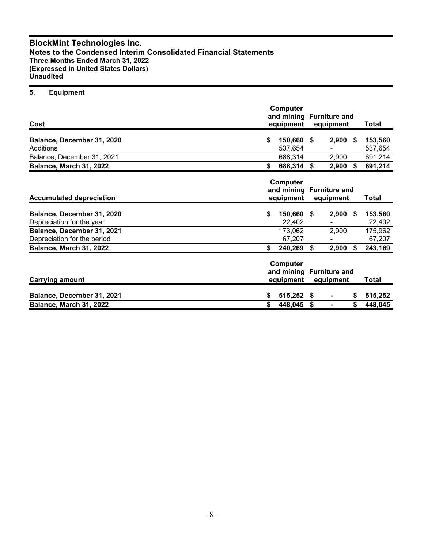## **5. Equipment**

| Cost                                                      | Computer<br>and mining Furniture and<br>equipment |    | equipment  | <b>Total</b> |                    |
|-----------------------------------------------------------|---------------------------------------------------|----|------------|--------------|--------------------|
| Balance, December 31, 2020<br>Additions                   | \$<br>150,660 \$<br>537,654                       |    | $2,900$ \$ |              | 153,560<br>537,654 |
| Balance, December 31, 2021                                | 688,314                                           |    | 2,900      |              | 691,214            |
| Balance, March 31, 2022                                   | \$<br>688,314 \$                                  |    | 2,900      | \$           | 691,214            |
| <b>Accumulated depreciation</b>                           | Computer<br>and mining Furniture and<br>equipment |    |            |              | <b>Total</b>       |
| Balance, December 31, 2020<br>Depreciation for the year   | \$<br>150,660 \$<br>22,402                        |    | 2,900      | \$           | 153,560<br>22,402  |
| Balance, December 31, 2021<br>Depreciation for the period | 173,062<br>67,207                                 |    | 2,900      |              | 175,962<br>67,207  |
| Balance, March 31, 2022                                   | \$<br>240,269                                     | \$ | 2,900      | Ŝ.           | 243,169            |
| <b>Carrying amount</b>                                    | Computer<br>and mining Furniture and<br>equipment |    | equipment  |              | <b>Total</b>       |
| Balance, December 31, 2021                                | \$<br>515,252 \$                                  |    |            | \$           | 515,252            |
| Balance, March 31, 2022                                   | \$<br>448,045                                     | \$ |            | \$           | 448,045            |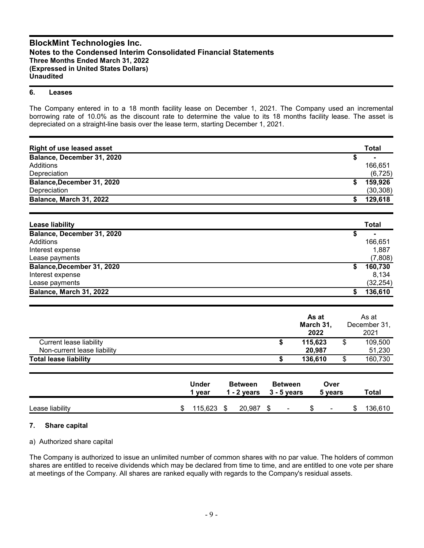#### **6. Leases**

The Company entered in to a 18 month facility lease on December 1, 2021. The Company used an incremental borrowing rate of 10.0% as the discount rate to determine the value to its 18 months facility lease. The asset is depreciated on a straight-line basis over the lease term, starting December 1, 2021.

| <b>Right of use leased asset</b> |                        |                                 |                                 |                   | <b>Total</b>         |
|----------------------------------|------------------------|---------------------------------|---------------------------------|-------------------|----------------------|
| Balance, December 31, 2020       |                        |                                 |                                 |                   | \$                   |
| Additions                        |                        |                                 |                                 |                   | 166,651              |
| Depreciation                     |                        |                                 |                                 |                   | (6, 725)             |
| Balance, December 31, 2020       |                        |                                 |                                 |                   | \$<br>159,926        |
| Depreciation                     |                        |                                 |                                 |                   | (30, 308)            |
| Balance, March 31, 2022          |                        |                                 |                                 |                   | \$<br>129,618        |
| <b>Lease liability</b>           |                        |                                 |                                 |                   | <b>Total</b>         |
| Balance, December 31, 2020       |                        |                                 |                                 |                   | \$                   |
| Additions                        |                        |                                 |                                 |                   | 166,651              |
| Interest expense                 |                        |                                 |                                 |                   | 1,887                |
| Lease payments                   |                        |                                 |                                 |                   | (7,808)              |
| Balance, December 31, 2020       |                        |                                 |                                 |                   | \$<br>160,730        |
| Interest expense                 |                        |                                 |                                 |                   | 8,134                |
| Lease payments                   |                        |                                 |                                 |                   | (32, 254)            |
| Balance, March 31, 2022          |                        |                                 |                                 |                   | \$<br>136,610        |
|                                  |                        |                                 |                                 | As at             | As at                |
|                                  |                        |                                 |                                 | March 31,<br>2022 | December 31,<br>2021 |
| <b>Current lease liability</b>   |                        |                                 | \$                              | 115,623           | \$<br>109,500        |
| Non-current lease liability      |                        |                                 |                                 | 20,987            | 51,230               |
| <b>Total lease liability</b>     |                        |                                 | \$                              | 136,610           | \$<br>160,730        |
|                                  | <b>Under</b><br>1 year | <b>Between</b><br>$1 - 2$ years | <b>Between</b><br>$3 - 5$ years | Over<br>5 years   | <b>Total</b>         |
| Lease liability                  | \$<br>115,623          | \$<br>20,987                    | \$                              | \$                | \$<br>136,610        |

## **7. Share capital**

## a) Authorized share capital

The Company is authorized to issue an unlimited number of common shares with no par value. The holders of common shares are entitled to receive dividends which may be declared from time to time, and are entitled to one vote per share at meetings of the Company. All shares are ranked equally with regards to the Company's residual assets.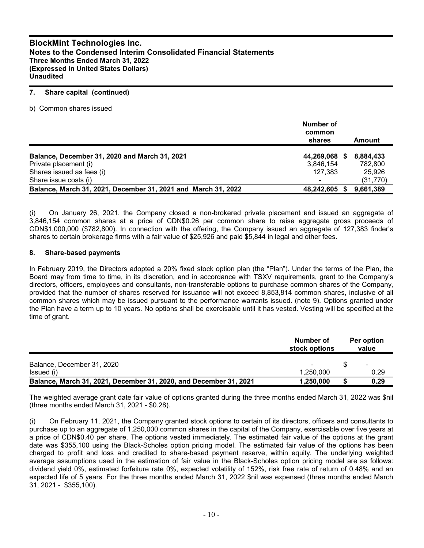#### **7. Share capital (continued)**

b) Common shares issued

|                                                               | Number of<br>common<br>shares | Amount    |
|---------------------------------------------------------------|-------------------------------|-----------|
| Balance, December 31, 2020 and March 31, 2021                 | 44,269,068 \$                 | 8,884,433 |
| Private placement (i)                                         | 3.846.154                     | 782.800   |
| Shares issued as fees (i)                                     | 127.383                       | 25.926    |
| Share issue costs (i)                                         | $\overline{\phantom{0}}$      | (31, 770) |
| Balance, March 31, 2021, December 31, 2021 and March 31, 2022 | 48,242,605 \$                 | 9,661,389 |

(i) On January 26, 2021, the Company closed a non-brokered private placement and issued an aggregate of 3,846,154 common shares at a price of CDN\$0.26 per common share to raise aggregate gross proceeds of CDN\$1,000,000 (\$782,800). In connection with the offering, the Company issued an aggregate of 127,383 finder's shares to certain brokerage firms with a fair value of \$25,926 and paid \$5,844 in legal and other fees.

## **8. Share-based payments**

In February 2019, the Directors adopted a 20% fixed stock option plan (the "Plan"). Under the terms of the Plan, the Board may from time to time, in its discretion, and in accordance with TSXV requirements, grant to the Company's directors, officers, employees and consultants, non-transferable options to purchase common shares of the Company, provided that the number of shares reserved for issuance will not exceed 8,853,814 common shares, inclusive of all common shares which may be issued pursuant to the performance warrants issued. (note 9). Options granted under the Plan have a term up to 10 years. No options shall be exercisable until it has vested. Vesting will be specified at the time of grant.

|                                                                   | Number of<br>stock options | Per option<br>value      |
|-------------------------------------------------------------------|----------------------------|--------------------------|
| Balance, December 31, 2020                                        |                            | $\overline{\phantom{a}}$ |
| Issued (i)                                                        | 1.250.000                  | 0.29                     |
| Balance, March 31, 2021, December 31, 2020, and December 31, 2021 | 1.250.000                  | 0.29                     |

The weighted average grant date fair value of options granted during the three months ended March 31, 2022 was \$nil (three months ended March 31, 2021 - \$0.28).

(i) On February 11, 2021, the Company granted stock options to certain of its directors, officers and consultants to purchase up to an aggregate of 1,250,000 common shares in the capital of the Company, exercisable over five years at a price of CDN\$0.40 per share. The options vested immediately. The estimated fair value of the options at the grant date was \$355,100 using the Black-Scholes option pricing model. The estimated fair value of the options has been charged to profit and loss and credited to share-based payment reserve, within equity. The underlying weighted average assumptions used in the estimation of fair value in the Black-Scholes option pricing model are as follows: dividend yield 0%, estimated forfeiture rate 0%, expected volatility of 152%, risk free rate of return of 0.48% and an expected life of 5 years. For the three months ended March 31, 2022 \$nil was expensed (three months ended March 31, 2021 - \$355,100).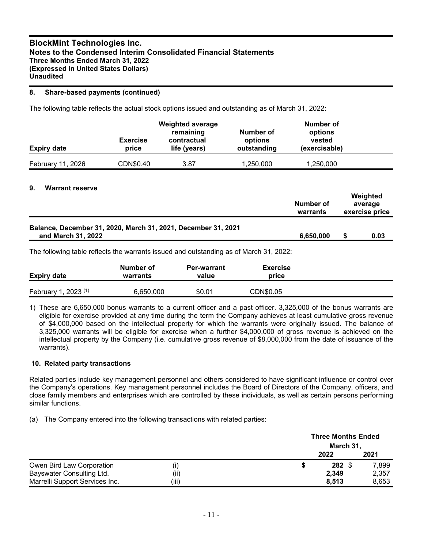## **8. Share-based payments (continued)**

The following table reflects the actual stock options issued and outstanding as of March 31, 2022:

| <b>Expiry date</b> | <b>Exercise</b><br>price | <b>Weighted average</b><br>remaining<br>contractual<br>life (years) | Number of<br>options<br>outstanding | Number of<br>options<br>vested<br>(exercisable) |  |
|--------------------|--------------------------|---------------------------------------------------------------------|-------------------------------------|-------------------------------------------------|--|
| February 11, 2026  | CDN\$0.40                | 3.87                                                                | 1,250,000                           | 1,250,000                                       |  |

## **9. Warrant reserve**

|                                                                                        | Number of<br>warrants | Weighted<br>average<br>exercise price |
|----------------------------------------------------------------------------------------|-----------------------|---------------------------------------|
| Balance, December 31, 2020, March 31, 2021, December 31, 2021<br>and March 31, 2022    | 6,650,000             | 0.03                                  |
| The following table reflects the werrants issued and outstanding as of March 21, 2022. |                       |                                       |

The following table reflects the warrants issued and outstanding as of March 31, 2022:

| <b>Expiry date</b>                     | Number of<br>warrants | <b>Per-warrant</b><br>value | <b>Exercise</b><br>price |  |
|----------------------------------------|-----------------------|-----------------------------|--------------------------|--|
| $, 2023$ <sup>(1)</sup><br>February 1, | 6,650,000             | \$0.01                      | CDN\$0.05                |  |

1) These are 6,650,000 bonus warrants to a current officer and a past officer. 3,325,000 of the bonus warrants are eligible for exercise provided at any time during the term the Company achieves at least cumulative gross revenue of \$4,000,000 based on the intellectual property for which the warrants were originally issued. The balance of 3,325,000 warrants will be eligible for exercise when a further \$4,000,000 of gross revenue is achieved on the intellectual property by the Company (i.e. cumulative gross revenue of \$8,000,000 from the date of issuance of the warrants).

## **10. Related party transactions**

Related parties include key management personnel and others considered to have significant influence or control over the Company's operations. Key management personnel includes the Board of Directors of the Company, officers, and close family members and enterprises which are controlled by these individuals, as well as certain persons performing similar functions.

(a) The Company entered into the following transactions with related parties:

|                                |       | <b>Three Months Ended</b> |                  |       |  |
|--------------------------------|-------|---------------------------|------------------|-------|--|
|                                |       |                           | March 31,        |       |  |
|                                |       |                           | 2022             | 2021  |  |
| Owen Bird Law Corporation      | U)    | ъ                         | $282 \text{ } $$ | 7,899 |  |
| Bayswater Consulting Ltd.      | (ii)  |                           | 2,349            | 2,357 |  |
| Marrelli Support Services Inc. | (iii) |                           | 8.513            | 8,653 |  |